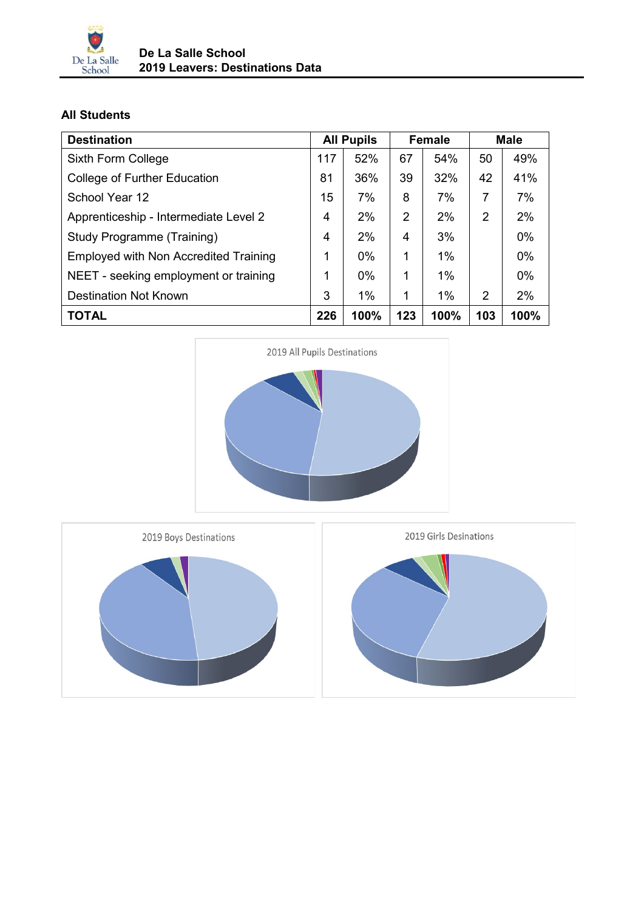

## **All Students**

| <b>Destination</b>                    | <b>All Pupils</b> |       | <b>Female</b> |       | <b>Male</b> |       |
|---------------------------------------|-------------------|-------|---------------|-------|-------------|-------|
| Sixth Form College                    | 117               | 52%   | 67            | 54%   | 50          | 49%   |
| College of Further Education          | 81                | 36%   | 39            | 32%   | 42          | 41%   |
| School Year 12                        | 15                | 7%    | 8             | 7%    | 7           | 7%    |
| Apprenticeship - Intermediate Level 2 | 4                 | 2%    | 2             | 2%    | 2           | 2%    |
| Study Programme (Training)            | 4                 | 2%    | 4             | 3%    |             | 0%    |
| Employed with Non Accredited Training | 1                 | $0\%$ | 1             | 1%    |             | 0%    |
| NEET - seeking employment or training | 1                 | $0\%$ | 1             | $1\%$ |             | $0\%$ |
| <b>Destination Not Known</b>          | 3                 | $1\%$ | 1             | $1\%$ | 2           | 2%    |
| <b>TOTAL</b>                          | 226               | 100%  | 123           | 100%  | 103         | 100%  |



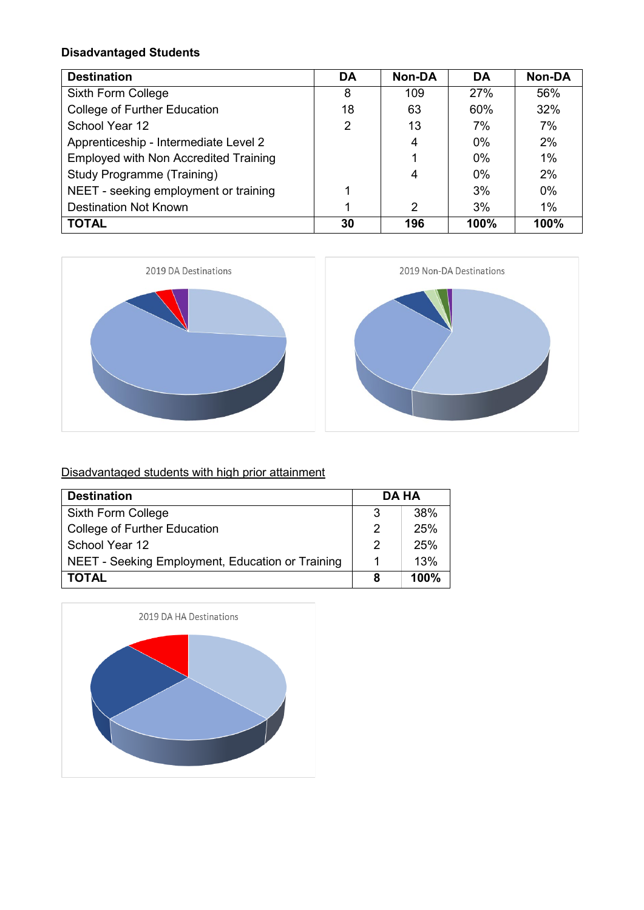### **Disadvantaged Students**

| <b>Destination</b>                           | DA | <b>Non-DA</b> | DA    | <b>Non-DA</b> |
|----------------------------------------------|----|---------------|-------|---------------|
| Sixth Form College                           | 8  | 109           | 27%   | 56%           |
| <b>College of Further Education</b>          | 18 | 63            | 60%   | 32%           |
| School Year 12                               | 2  | 13            | 7%    | 7%            |
| Apprenticeship - Intermediate Level 2        |    | 4             | $0\%$ | 2%            |
| <b>Employed with Non Accredited Training</b> |    |               | $0\%$ | 1%            |
| <b>Study Programme (Training)</b>            |    | 4             | $0\%$ | 2%            |
| NEET - seeking employment or training        |    |               | 3%    | $0\%$         |
| <b>Destination Not Known</b>                 |    | 2             | 3%    | 1%            |
| <b>TOTAL</b>                                 | 30 | 196           | 100%  | 100%          |





# Disadvantaged students with high prior attainment

| <b>Destination</b>                               |   | DA HA |  |  |
|--------------------------------------------------|---|-------|--|--|
| Sixth Form College                               | 3 | 38%   |  |  |
| <b>College of Further Education</b>              | 2 | 25%   |  |  |
| School Year 12                                   | 2 | 25%   |  |  |
| NEET - Seeking Employment, Education or Training |   | 13%   |  |  |
| <b>TOTAL</b>                                     | 8 | 100%  |  |  |